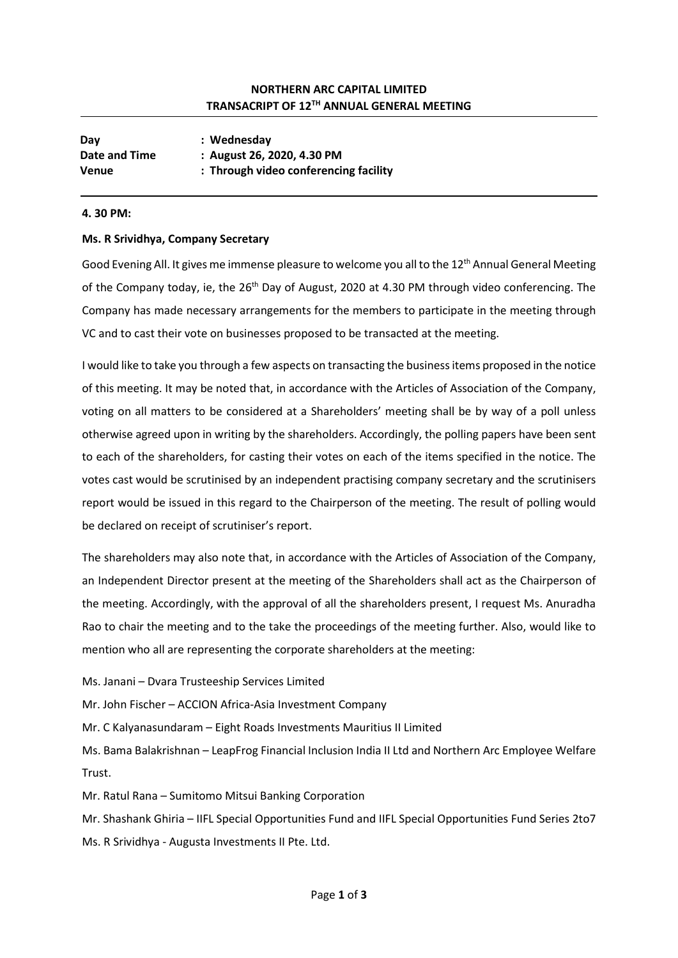# NORTHERN ARC CAPITAL LIMITED TRANSACRIPT OF 12TH ANNUAL GENERAL MEETING

| Day           | : Wednesday                           |
|---------------|---------------------------------------|
| Date and Time | : August 26, 2020, 4.30 PM            |
| Venue         | : Through video conferencing facility |

### 4. 30 PM:

### Ms. R Srividhya, Company Secretary

Good Evening All. It gives me immense pleasure to welcome you all to the  $12<sup>th</sup>$  Annual General Meeting of the Company today, ie, the 26<sup>th</sup> Day of August, 2020 at 4.30 PM through video conferencing. The Company has made necessary arrangements for the members to participate in the meeting through VC and to cast their vote on businesses proposed to be transacted at the meeting.

I would like to take you through a few aspects on transacting the business items proposed in the notice of this meeting. It may be noted that, in accordance with the Articles of Association of the Company, voting on all matters to be considered at a Shareholders' meeting shall be by way of a poll unless otherwise agreed upon in writing by the shareholders. Accordingly, the polling papers have been sent to each of the shareholders, for casting their votes on each of the items specified in the notice. The votes cast would be scrutinised by an independent practising company secretary and the scrutinisers report would be issued in this regard to the Chairperson of the meeting. The result of polling would be declared on receipt of scrutiniser's report.

The shareholders may also note that, in accordance with the Articles of Association of the Company, an Independent Director present at the meeting of the Shareholders shall act as the Chairperson of the meeting. Accordingly, with the approval of all the shareholders present, I request Ms. Anuradha Rao to chair the meeting and to the take the proceedings of the meeting further. Also, would like to mention who all are representing the corporate shareholders at the meeting:

Ms. Janani – Dvara Trusteeship Services Limited

Mr. John Fischer – ACCION Africa-Asia Investment Company

Mr. C Kalyanasundaram – Eight Roads Investments Mauritius II Limited

Ms. Bama Balakrishnan – LeapFrog Financial Inclusion India II Ltd and Northern Arc Employee Welfare Trust.

Mr. Ratul Rana – Sumitomo Mitsui Banking Corporation

Mr. Shashank Ghiria – IIFL Special Opportunities Fund and IIFL Special Opportunities Fund Series 2to7 Ms. R Srividhya - Augusta Investments II Pte. Ltd.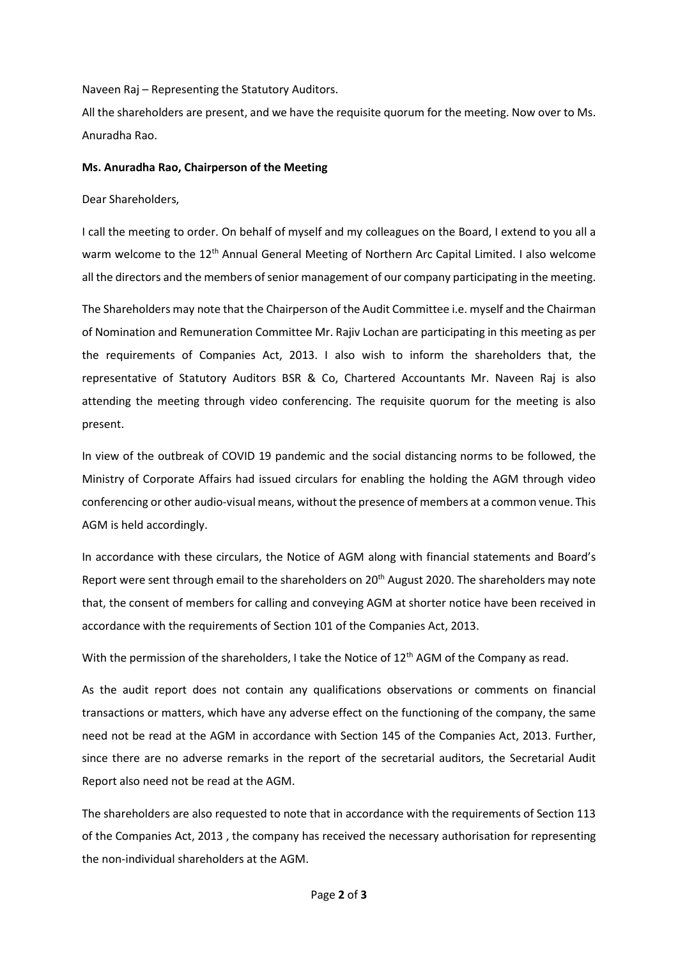Naveen Raj – Representing the Statutory Auditors.

All the shareholders are present, and we have the requisite quorum for the meeting. Now over to Ms. Anuradha Rao.

#### Ms. Anuradha Rao, Chairperson of the Meeting

Dear Shareholders,

I call the meeting to order. On behalf of myself and my colleagues on the Board, I extend to you all a warm welcome to the 12<sup>th</sup> Annual General Meeting of Northern Arc Capital Limited. I also welcome all the directors and the members of senior management of our company participating in the meeting.

The Shareholders may note that the Chairperson of the Audit Committee i.e. myself and the Chairman of Nomination and Remuneration Committee Mr. Rajiv Lochan are participating in this meeting as per the requirements of Companies Act, 2013. I also wish to inform the shareholders that, the representative of Statutory Auditors BSR & Co, Chartered Accountants Mr. Naveen Raj is also attending the meeting through video conferencing. The requisite quorum for the meeting is also present.

In view of the outbreak of COVID 19 pandemic and the social distancing norms to be followed, the Ministry of Corporate Affairs had issued circulars for enabling the holding the AGM through video conferencing or other audio-visual means, without the presence of members at a common venue. This AGM is held accordingly.

In accordance with these circulars, the Notice of AGM along with financial statements and Board's Report were sent through email to the shareholders on 20<sup>th</sup> August 2020. The shareholders may note that, the consent of members for calling and conveying AGM at shorter notice have been received in accordance with the requirements of Section 101 of the Companies Act, 2013.

With the permission of the shareholders, I take the Notice of 12<sup>th</sup> AGM of the Company as read.

As the audit report does not contain any qualifications observations or comments on financial transactions or matters, which have any adverse effect on the functioning of the company, the same need not be read at the AGM in accordance with Section 145 of the Companies Act, 2013. Further, since there are no adverse remarks in the report of the secretarial auditors, the Secretarial Audit Report also need not be read at the AGM.

The shareholders are also requested to note that in accordance with the requirements of Section 113 of the Companies Act, 2013 , the company has received the necessary authorisation for representing the non-individual shareholders at the AGM.